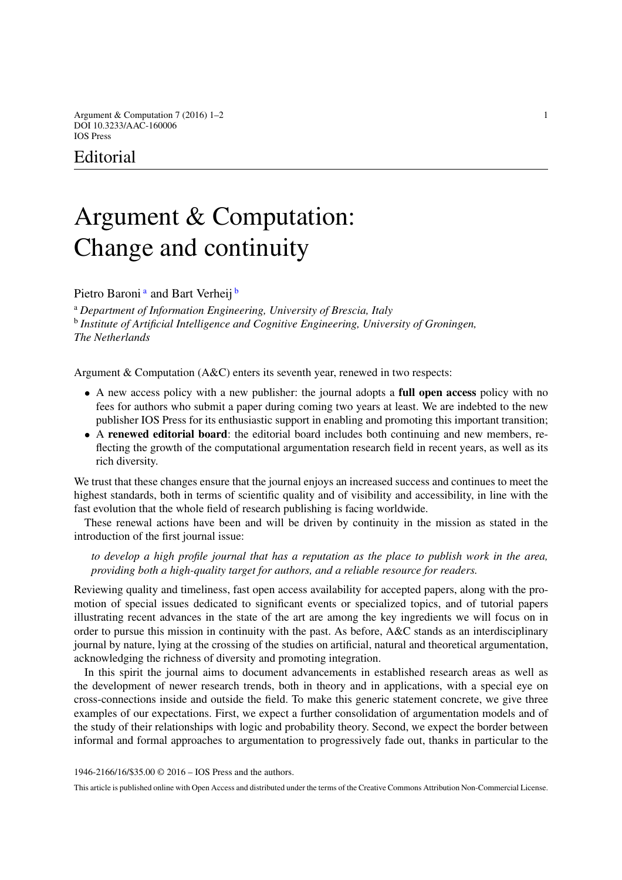Argument & Computation 7 (2016) 1–2  $\frac{1}{2}$ DOI 10.3233/AAC-160006 IOS Press

## Editorial

## Argument & Computation: Change and continuity

<span id="page-0-0"></span>Pietro B[a](#page-0-0)roni<sup>a</sup> and Bart Verheij<sup>[b](#page-0-1)</sup>

<span id="page-0-1"></span><sup>a</sup> *Department of Information Engineering, University of Brescia, Italy* <sup>b</sup> *Institute of Artificial Intelligence and Cognitive Engineering, University of Groningen, The Netherlands*

Argument & Computation (A&C) enters its seventh year, renewed in two respects:

- A new access policy with a new publisher: the journal adopts a **full open access** policy with no fees for authors who submit a paper during coming two years at least. We are indebted to the new publisher IOS Press for its enthusiastic support in enabling and promoting this important transition;
- A **renewed editorial board**: the editorial board includes both continuing and new members, reflecting the growth of the computational argumentation research field in recent years, as well as its rich diversity.

We trust that these changes ensure that the journal enjoys an increased success and continues to meet the highest standards, both in terms of scientific quality and of visibility and accessibility, in line with the fast evolution that the whole field of research publishing is facing worldwide.

These renewal actions have been and will be driven by continuity in the mission as stated in the introduction of the first journal issue:

*to develop a high profile journal that has a reputation as the place to publish work in the area, providing both a high-quality target for authors, and a reliable resource for readers.*

Reviewing quality and timeliness, fast open access availability for accepted papers, along with the promotion of special issues dedicated to significant events or specialized topics, and of tutorial papers illustrating recent advances in the state of the art are among the key ingredients we will focus on in order to pursue this mission in continuity with the past. As before, A&C stands as an interdisciplinary journal by nature, lying at the crossing of the studies on artificial, natural and theoretical argumentation, acknowledging the richness of diversity and promoting integration.

In this spirit the journal aims to document advancements in established research areas as well as the development of newer research trends, both in theory and in applications, with a special eye on cross-connections inside and outside the field. To make this generic statement concrete, we give three examples of our expectations. First, we expect a further consolidation of argumentation models and of the study of their relationships with logic and probability theory. Second, we expect the border between informal and formal approaches to argumentation to progressively fade out, thanks in particular to the

1946-2166/16/\$35.00 © 2016 – IOS Press and the authors.

This article is published online with Open Access and distributed under the terms of the Creative Commons Attribution Non-Commercial License.